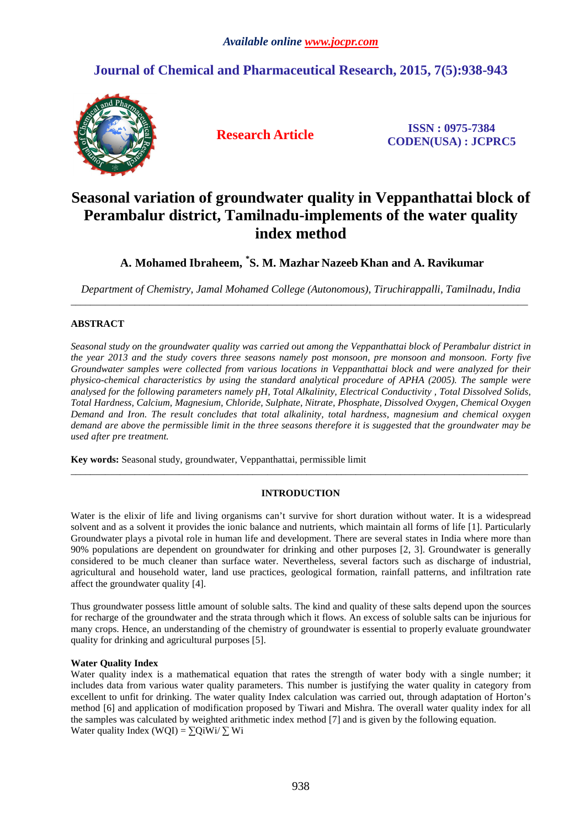# **Journal of Chemical and Pharmaceutical Research, 2015, 7(5):938-943**



**Research Article ISSN : 0975-7384 CODEN(USA) : JCPRC5**

# **Seasonal variation of groundwater quality in Veppanthattai block of Perambalur district, Tamilnadu-implements of the water quality index method**

## **A. Mohamed Ibraheem, \* S. M. Mazhar Nazeeb Khan and A. Ravikumar**

*Department of Chemistry, Jamal Mohamed College (Autonomous), Tiruchirappalli, Tamilnadu, India*  \_\_\_\_\_\_\_\_\_\_\_\_\_\_\_\_\_\_\_\_\_\_\_\_\_\_\_\_\_\_\_\_\_\_\_\_\_\_\_\_\_\_\_\_\_\_\_\_\_\_\_\_\_\_\_\_\_\_\_\_\_\_\_\_\_\_\_\_\_\_\_\_\_\_\_\_\_\_\_\_\_\_\_\_\_\_\_\_\_\_\_\_\_

## **ABSTRACT**

*Seasonal study on the groundwater quality was carried out among the Veppanthattai block of Perambalur district in the year 2013 and the study covers three seasons namely post monsoon, pre monsoon and monsoon. Forty five Groundwater samples were collected from various locations in Veppanthattai block and were analyzed for their physico-chemical characteristics by using the standard analytical procedure of APHA (2005). The sample were analysed for the following parameters namely pH, Total Alkalinity, Electrical Conductivity , Total Dissolved Solids, Total Hardness, Calcium, Magnesium, Chloride, Sulphate, Nitrate, Phosphate, Dissolved Oxygen, Chemical Oxygen Demand and Iron. The result concludes that total alkalinity, total hardness, magnesium and chemical oxygen demand are above the permissible limit in the three seasons therefore it is suggested that the groundwater may be used after pre treatment.* 

**Key words:** Seasonal study, groundwater, Veppanthattai, permissible limit

#### **INTRODUCTION**

 $\overline{a}$  , and the contribution of the contribution of the contribution of the contribution of the contribution of the contribution of the contribution of the contribution of the contribution of the contribution of the co

Water is the elixir of life and living organisms can't survive for short duration without water. It is a widespread solvent and as a solvent it provides the ionic balance and nutrients, which maintain all forms of life [1]. Particularly Groundwater plays a pivotal role in human life and development. There are several states in India where more than 90% populations are dependent on groundwater for drinking and other purposes [2, 3]. Groundwater is generally considered to be much cleaner than surface water. Nevertheless, several factors such as discharge of industrial, agricultural and household water, land use practices, geological formation, rainfall patterns, and infiltration rate affect the groundwater quality [4].

Thus groundwater possess little amount of soluble salts. The kind and quality of these salts depend upon the sources for recharge of the groundwater and the strata through which it flows. An excess of soluble salts can be injurious for many crops. Hence, an understanding of the chemistry of groundwater is essential to properly evaluate groundwater quality for drinking and agricultural purposes [5].

## **Water Quality Index**

Water quality index is a mathematical equation that rates the strength of water body with a single number; it includes data from various water quality parameters. This number is justifying the water quality in category from excellent to unfit for drinking. The water quality Index calculation was carried out, through adaptation of Horton's method [6] and application of modification proposed by Tiwari and Mishra. The overall water quality index for all the samples was calculated by weighted arithmetic index method [7] and is given by the following equation. Water quality Index (WQI) =  $\sum$ QiWi/ $\sum$  Wi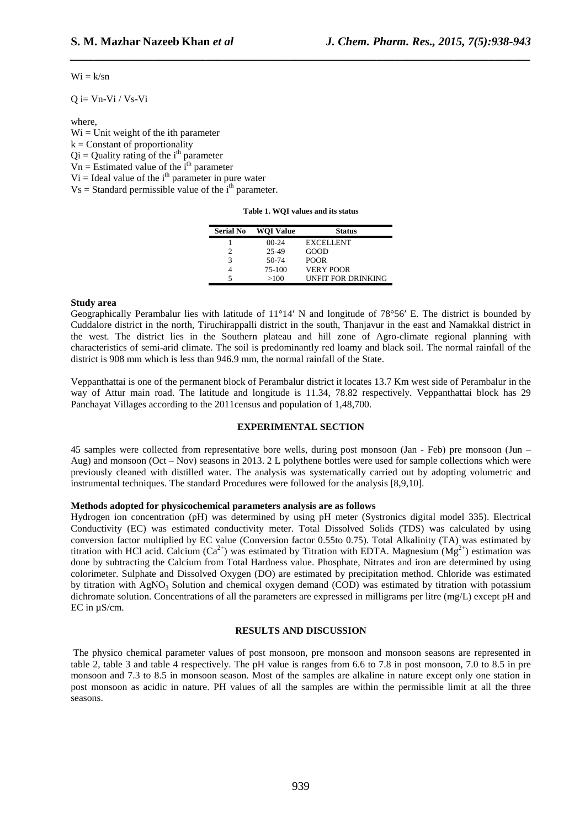$Wi = k/sn$ 

 $Q$  i=  $Vn-Vi / Vs-Vi$ 

where,

 $Wi = Unit weight of the ith parameter$  $k =$ Constant of proportionality  $Qi =$ Quality rating of the i<sup>th</sup> parameter  $V_n$  = Estimated value of the i<sup>th</sup> parameter  $Vi =$  Ideal value of the i<sup>th</sup> parameter in pure water  $Vs = Standard$  permissible value of the  $i<sup>th</sup>$  parameter.

| Table 1. WQI values and its status |
|------------------------------------|
|------------------------------------|

*\_\_\_\_\_\_\_\_\_\_\_\_\_\_\_\_\_\_\_\_\_\_\_\_\_\_\_\_\_\_\_\_\_\_\_\_\_\_\_\_\_\_\_\_\_\_\_\_\_\_\_\_\_\_\_\_\_\_\_\_\_\_\_\_\_\_\_\_\_\_\_\_\_\_\_\_\_\_*

| <b>Serial No</b> | <b>WOI Value</b> | <b>Status</b>      |
|------------------|------------------|--------------------|
|                  | $00-24$          | <b>EXCELLENT</b>   |
|                  | 25-49            | GOOD               |
| 3                | $50-74$          | <b>POOR</b>        |
|                  | 75-100           | VERY POOR          |
|                  | >100             | UNFIT FOR DRINKING |

#### **Study area**

Geographically Perambalur lies with latitude of 11°14′ N and longitude of 78°56′ E. The district is bounded by Cuddalore district in the north, Tiruchirappalli district in the south, Thanjavur in the east and Namakkal district in the west. The district lies in the Southern plateau and hill zone of Agro-climate regional planning with characteristics of semi-arid climate. The soil is predominantly red loamy and black soil. The normal rainfall of the district is 908 mm which is less than 946.9 mm, the normal rainfall of the State.

Veppanthattai is one of the permanent block of Perambalur district it locates 13.7 Km west side of Perambalur in the way of Attur main road. The latitude and longitude is 11.34, 78.82 respectively. Veppanthattai block has 29 Panchayat Villages according to the 2011census and population of 1,48,700.

#### **EXPERIMENTAL SECTION**

45 samples were collected from representative bore wells, during post monsoon (Jan - Feb) pre monsoon (Jun – Aug) and monsoon (Oct – Nov) seasons in 2013. 2 L polythene bottles were used for sample collections which were previously cleaned with distilled water. The analysis was systematically carried out by adopting volumetric and instrumental techniques. The standard Procedures were followed for the analysis [8,9,10].

#### **Methods adopted for physicochemical parameters analysis are as follows**

Hydrogen ion concentration (pH) was determined by using pH meter (Systronics digital model 335). Electrical Conductivity (EC) was estimated conductivity meter. Total Dissolved Solids (TDS) was calculated by using conversion factor multiplied by EC value (Conversion factor 0.55to 0.75). Total Alkalinity (TA) was estimated by titration with HCl acid. Calcium ( $Ca^{2+}$ ) was estimated by Titration with EDTA. Magnesium ( $Mg^{2+}$ ) estimation was done by subtracting the Calcium from Total Hardness value. Phosphate, Nitrates and iron are determined by using colorimeter. Sulphate and Dissolved Oxygen (DO) are estimated by precipitation method. Chloride was estimated by titration with  $AgNO<sub>3</sub>$  Solution and chemical oxygen demand (COD) was estimated by titration with potassium dichromate solution. Concentrations of all the parameters are expressed in milligrams per litre (mg/L) except pH and EC in µS/cm.

#### **RESULTS AND DISCUSSION**

 The physico chemical parameter values of post monsoon, pre monsoon and monsoon seasons are represented in table 2, table 3 and table 4 respectively. The pH value is ranges from 6.6 to 7.8 in post monsoon, 7.0 to 8.5 in pre monsoon and 7.3 to 8.5 in monsoon season. Most of the samples are alkaline in nature except only one station in post monsoon as acidic in nature. PH values of all the samples are within the permissible limit at all the three seasons.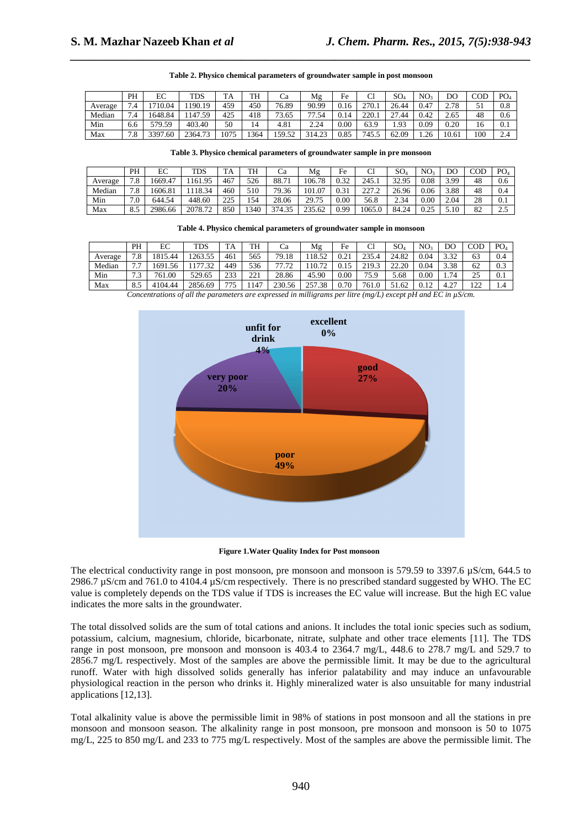|         | PH                    | EС      | <b>TDS</b>    | T A  | TH   | Сa     | Mg     | Fe   | ◡            | SO.             | NO <sub>3</sub> | DO             | COD       | PO <sub>4</sub> |
|---------|-----------------------|---------|---------------|------|------|--------|--------|------|--------------|-----------------|-----------------|----------------|-----------|-----------------|
| Average | .4                    | 710.04  | 190.19        | 459  | 450  | 76.89  | 90.99  | 0.16 | 270.1        | 26.44           | 0.47            | າ 70<br>2. L O | JI        | 0.8             |
| Median  | 7.4                   | 648.84  | 147.59<br>-59 | 425  | 418  | 73.65  | 77.54  | 0.14 | 220<br>440.I | $\sim$<br>27.44 | 0.42            | 2.65           | 48        | 0.6             |
| Min     | 6.6                   | 579.59  | 403.40        | 50   | 14   | 4.81   | 2.24   | 0.00 | 63.9         | 1.93            | 0.09            | 0.20           | . .<br>16 | 0.1             |
| Max     | 70<br>$\cdot^{\circ}$ | 3397.60 | 2364.73       | 1075 | !364 | 159.52 | 314.23 | 0.85 | 745.5        | 62.09           | 1.26            | 10.61          | 100       | 2.4             |

**Table 2. Physico chemical parameters of groundwater sample in post monsoon** 

*\_\_\_\_\_\_\_\_\_\_\_\_\_\_\_\_\_\_\_\_\_\_\_\_\_\_\_\_\_\_\_\_\_\_\_\_\_\_\_\_\_\_\_\_\_\_\_\_\_\_\_\_\_\_\_\_\_\_\_\_\_\_\_\_\_\_\_\_\_\_\_\_\_\_\_\_\_\_*

**Table 3. Physico chemical parameters of groundwater sample in pre monsoon** 

|         | PH  | EС      | <b>TDS</b> | TA            | TH   | Ca     | Mg     | Fe   | Cl              | $\mathrm{SO}_4$ | NO <sub>3</sub> | DO   | COD | PO <sub>4</sub>       |
|---------|-----|---------|------------|---------------|------|--------|--------|------|-----------------|-----------------|-----------------|------|-----|-----------------------|
| Average | 7.8 | 669.47  | 1161.95    | 467           | 526  | 88.71  | 106.78 | 0.32 | 245.1           | 32.95<br>ر د ک  | 0.08            | 3.99 | 48  | 0.6                   |
| Median  | 7.8 | 606.81  | 1118.34    | 460           | 510  | 79.36  | 101.07 | 0.31 | ר דרר<br>-- - - | 26.96           | 0.06            | 3.88 | 48  | 0.4                   |
| Min     | 7.0 | 644.54  | 448.60     | つつち<br>ل کے ک | 154  | 28.06  | 29.75  | 0.00 | 56.8            | 2.34            | 0.00            | 2.04 | 28  | 0.1                   |
| Max     | 8.5 | 2986.66 | 2078.72    | 850           | 1340 | 374.35 | 235.62 | 0.99 | 1065.0          | 84.24           | 25              | 5.10 | 82  | $\cap$ $\in$<br>ل . ک |

**Table 4. Physico chemical parameters of groundwater sample in monsoon** 

|                                                                                                                                                                | PH        | EС      | <b>TDS</b>  | TA  | TH         | Сa     | Mg     | Fe   | Cl    | SO <sub>4</sub> | NO <sub>3</sub> | DO           | COD        | PO <sub>4</sub> |
|----------------------------------------------------------------------------------------------------------------------------------------------------------------|-----------|---------|-------------|-----|------------|--------|--------|------|-------|-----------------|-----------------|--------------|------------|-----------------|
| Average                                                                                                                                                        | 7.8       | 815.44  | 1263.55     | 461 | 565        | 79.18  | 18.52  | 0.21 | 235.4 | 24.82           | 0.04            | 332<br>ے ر.ر | 63         | 0.4             |
| Median                                                                                                                                                         | 77<br>٠., | 1691.56 | 7.32<br>177 | 449 | 536        | 77.72  | 10.72  |      | 219.3 | <u>22.20</u>    | 0.04            | 3.38         | 62         | 0.3             |
| Min                                                                                                                                                            | 7.3       | 761.00  | 529.65      | 233 | 221<br>∠∠⊥ | 28.86  | 45.90  | 0.00 | 75.9  | 5.68            | 0.00            | 1.74         | 25         | 0.1             |
| Max                                                                                                                                                            | 8.5       | 4104.44 | 2856.69     | 775 | 147        | 230.56 | 257.38 | 0.70 | 761.0 | 51.62           | 0.12            | 4.27         | 122<br>- ∸ | 1.4             |
| $C_1, \ldots, C_n$ . The contract of the contract of $I$ is $\ldots$ . The contract of $I$ and $\pi$ is $I$ $\pi$ is $I$ $\pi$ is $\ldots$ $\theta$ / $\ldots$ |           |         |             |     |            |        |        |      |       |                 |                 |              |            |                 |

*Concentrations of all the parameters are expressed in milligrams per litre (mg/L) except pH and EC in µS/cm.* 



**Figure 1.Water Quality Index for Post monsoon** 

The electrical conductivity range in post monsoon, pre monsoon and monsoon is 579.59 to 3397.6 µS/cm, 644.5 to 2986.7 µS/cm and 761.0 to 4104.4 µS/cm respectively. There is no prescribed standard suggested by WHO. The EC value is completely depends on the TDS value if TDS is increases the EC value will increase. But the high EC value indicates the more salts in the groundwater.

The total dissolved solids are the sum of total cations and anions. It includes the total ionic species such as sodium, potassium, calcium, magnesium, chloride, bicarbonate, nitrate, sulphate and other trace elements [11]. The TDS range in post monsoon, pre monsoon and monsoon is 403.4 to 2364.7 mg/L, 448.6 to 278.7 mg/L and 529.7 to 2856.7 mg/L respectively. Most of the samples are above the permissible limit. It may be due to the agricultural runoff. Water with high dissolved solids generally has inferior palatability and may induce an unfavourable physiological reaction in the person who drinks it. Highly mineralized water is also unsuitable for many industrial applications [12,13].

Total alkalinity value is above the permissible limit in 98% of stations in post monsoon and all the stations in pre monsoon and monsoon season. The alkalinity range in post monsoon, pre monsoon and monsoon is 50 to 1075 mg/L, 225 to 850 mg/L and 233 to 775 mg/L respectively. Most of the samples are above the permissible limit. The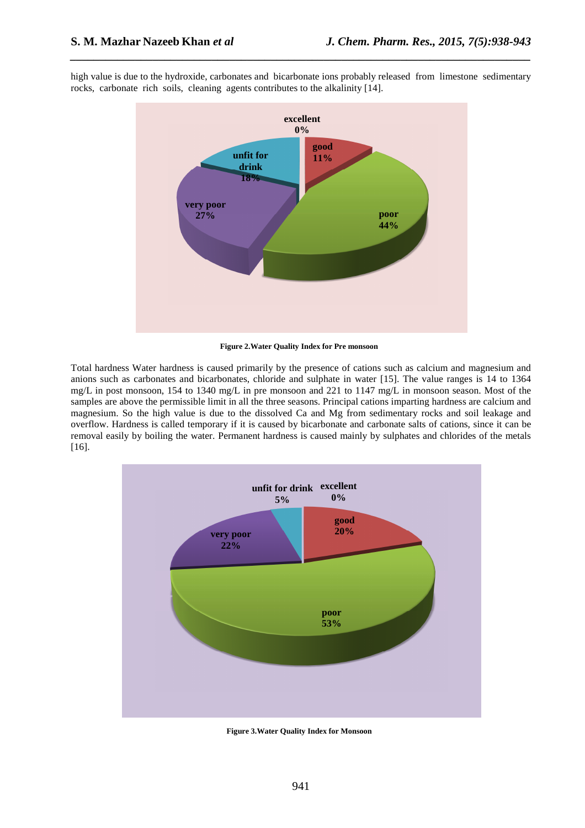

high value is due to the hydroxide, carbonates and bicarbonate ions probably released from limestone sedimentary rocks, carbonate rich soils, cleaning agents contributes to the alkalinity [14].

*\_\_\_\_\_\_\_\_\_\_\_\_\_\_\_\_\_\_\_\_\_\_\_\_\_\_\_\_\_\_\_\_\_\_\_\_\_\_\_\_\_\_\_\_\_\_\_\_\_\_\_\_\_\_\_\_\_\_\_\_\_\_\_\_\_\_\_\_\_\_\_\_\_\_\_\_\_\_*

**Figure 2.Water Quality Index for Pre monsoon** 

Total hardness Water hardness is caused primarily by the presence of cations such as calcium and magnesium and anions such as carbonates and bicarbonates, chloride and sulphate in water [15]. The value ranges is 14 to 1364 mg/L in post monsoon, 154 to 1340 mg/L in pre monsoon and 221 to 1147 mg/L in monsoon season. Most of the samples are above the permissible limit in all the three seasons. Principal cations imparting hardness are calcium and magnesium. So the high value is due to the dissolved Ca and Mg from sedimentary rocks and soil leakage and overflow. Hardness is called temporary if it is caused by bicarbonate and carbonate salts of cations, since it can be removal easily by boiling the water. Permanent hardness is caused mainly by sulphates and chlorides of the metals [16].



**Figure 3.Water Quality Index for Monsoon**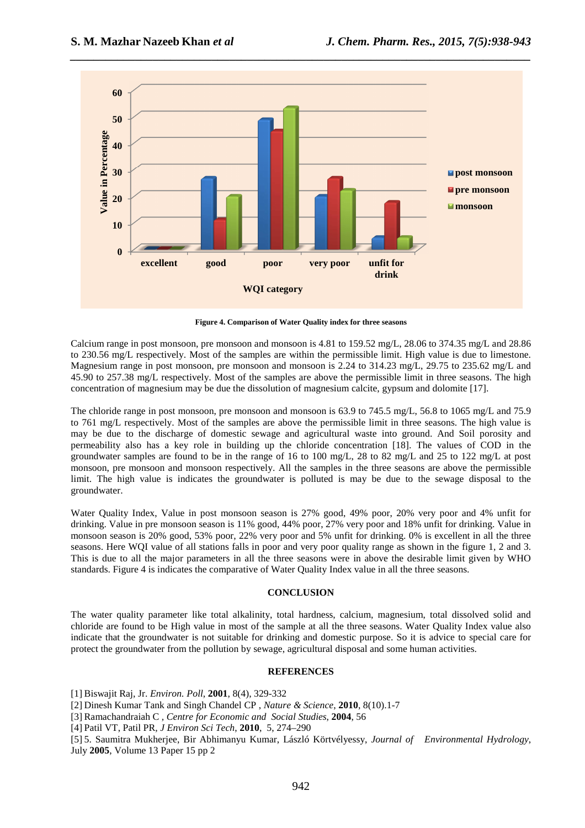

**Figure 4. Comparison of Water Quality index for three seasons** 

Calcium range in post monsoon, pre monsoon and monsoon is 4.81 to 159.52 mg/L, 28.06 to 374.35 mg/L and 28.86 to 230.56 mg/L respectively. Most of the samples are within the permissible limit. High value is due to limestone. Magnesium range in post monsoon, pre monsoon and monsoon is 2.24 to 314.23 mg/L, 29.75 to 235.62 mg/L and 45.90 to 257.38 mg/L respectively. Most of the samples are above the permissible limit in three seasons. The high concentration of magnesium may be due the dissolution of magnesium calcite, gypsum and dolomite [17].

The chloride range in post monsoon, pre monsoon and monsoon is 63.9 to 745.5 mg/L, 56.8 to 1065 mg/L and 75.9 to 761 mg/L respectively. Most of the samples are above the permissible limit in three seasons. The high value is may be due to the discharge of domestic sewage and agricultural waste into ground. And Soil porosity and permeability also has a key role in building up the chloride concentration [18]. The values of COD in the groundwater samples are found to be in the range of 16 to 100 mg/L, 28 to 82 mg/L and 25 to 122 mg/L at post monsoon, pre monsoon and monsoon respectively. All the samples in the three seasons are above the permissible limit. The high value is indicates the groundwater is polluted is may be due to the sewage disposal to the groundwater.

Water Quality Index, Value in post monsoon season is 27% good, 49% poor, 20% very poor and 4% unfit for drinking. Value in pre monsoon season is 11% good, 44% poor, 27% very poor and 18% unfit for drinking. Value in monsoon season is 20% good, 53% poor, 22% very poor and 5% unfit for drinking. 0% is excellent in all the three seasons. Here WQI value of all stations falls in poor and very poor quality range as shown in the figure 1, 2 and 3. This is due to all the major parameters in all the three seasons were in above the desirable limit given by WHO standards. Figure 4 is indicates the comparative of Water Quality Index value in all the three seasons.

#### **CONCLUSION**

The water quality parameter like total alkalinity, total hardness, calcium, magnesium, total dissolved solid and chloride are found to be High value in most of the sample at all the three seasons. Water Quality Index value also indicate that the groundwater is not suitable for drinking and domestic purpose. So it is advice to special care for protect the groundwater from the pollution by sewage, agricultural disposal and some human activities.

### **REFERENCES**

[1] Biswajit Raj, Jr. *Environ. Poll*, **2001**, 8(4), 329-332

[2] Dinesh Kumar Tank and Singh Chandel CP , *Nature & Science*, **2010**, 8(10).1-7

[3] Ramachandraiah C *, Centre for Economic and Social Studies*, **2004**, 56

[4] Patil VT, Patil PR*, J Environ Sci Tech*, **2010**, 5, 274–290

[5] 5. Saumitra Mukherjee, Bir Abhimanyu Kumar, László Körtvélyessy, *Journal of Environmental Hydrology*, July **2005**, Volume 13 Paper 15 pp 2